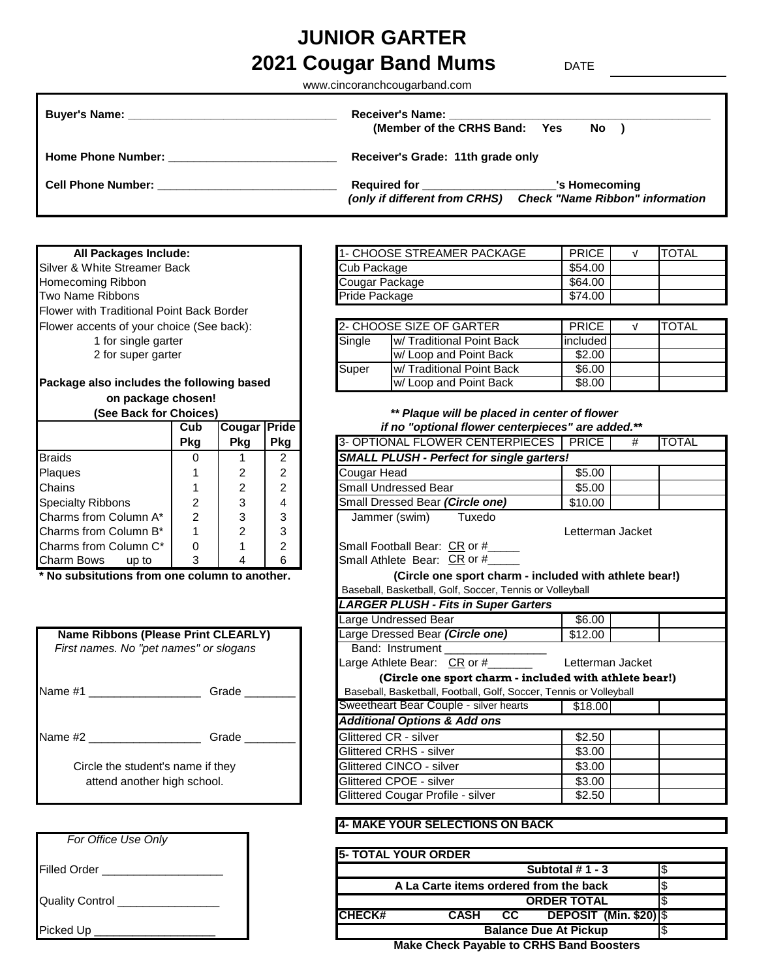# **2021 Cougar Band Mums** DATE **JUNIOR GARTER**

www.cincoranchcougarband.com

|                                                                                                                                                                                                                                     | (Member of the CRHS Band: Yes<br>No )                                                                                             |  |  |  |  |
|-------------------------------------------------------------------------------------------------------------------------------------------------------------------------------------------------------------------------------------|-----------------------------------------------------------------------------------------------------------------------------------|--|--|--|--|
| <b>Home Phone Number:</b>                                                                                                                                                                                                           | Receiver's Grade: 11th grade only                                                                                                 |  |  |  |  |
| <b>Cell Phone Number:</b> The Contract of the Contract of the Contract of the Contract of the Contract of the Contract of the Contract of the Contract of the Contract of the Contract of the Contract of the Contract of the Contr | Required for ________________________<br>'s Homecoming<br><b>Check "Name Ribbon" information</b><br>(only if different from CRHS) |  |  |  |  |

#### **All Packages Include:**

Silver & White Streamer Back Homecoming Ribbon Two Name Ribbons Flower with Traditional Point Back Border Flower accents of your choice (See back): 1 for single garter 2 for super garter

# **Package also includes the following based**

# **on package chosen!**

| JEE DAUN IUI UNUILESI    |            |               | <b>Flaque will be placed in center</b> |                                           |
|--------------------------|------------|---------------|----------------------------------------|-------------------------------------------|
|                          | Cub        | <b>Cougar</b> | Pride                                  | if no "optional flower centerpieces       |
|                          | <b>Pkg</b> | <b>Pkg</b>    | <b>Pkg</b>                             | 3- OPTIONAL FLOWER CENTERPIECES           |
| <b>Braids</b>            |            |               | 2                                      | SMALL PLUSH - Perfect for single garters! |
| Plaques                  |            | 2             | $\mathcal{P}$                          | Cougar Head                               |
| Chains                   |            |               | $\overline{2}$                         | <b>Small Undressed Bear</b>               |
| <b>Specialty Ribbons</b> | 2          | 3             | 4                                      | Small Dressed Bear (Circle one)           |
| Charms from Column A*    | 2          | 3             | 3                                      | Jammer (swim)<br>Tuxedo                   |
| Charms from Column B*    |            | 2             | 3                                      |                                           |
| Charms from Column C*    | 0          |               | $\mathcal{P}$                          | Small Football Bear: CR or #              |
| Charm Bows<br>up to      | 3          |               | 6                                      | Small Athlete Bear: CR or #               |

|                                        | Name Ribbons (Please Print CLEARLY) | Large Dressed Bear (Circle one)               |  |  |  |
|----------------------------------------|-------------------------------------|-----------------------------------------------|--|--|--|
| First names. No "pet names" or slogans |                                     | Band: Instrument                              |  |  |  |
|                                        |                                     | Large Athlete Bear: CR or #                   |  |  |  |
|                                        |                                     | (Circle one sport charm - inclu               |  |  |  |
| Name #1 ________<br>Grade              |                                     | Baseball, Basketball, Football, Golf, Soccer, |  |  |  |
|                                        |                                     | Sweetheart Bear Couple - silver hearts        |  |  |  |
|                                        |                                     | <b>Additional Options &amp; Add ons</b>       |  |  |  |
| Name $#2$                              | Grade                               | Glittered CR - silver                         |  |  |  |
|                                        |                                     | <b>Glittered CRHS - silver</b>                |  |  |  |
| Circle the student's name if they      |                                     | Glittered CINCO - silver                      |  |  |  |
| attend another high school.            |                                     | Glittered CPOE - silver                       |  |  |  |
|                                        |                                     |                                               |  |  |  |

| For Office Use Only |  |
|---------------------|--|
| <b>Filled Order</b> |  |
| Quality Control __  |  |
| Picked Up           |  |

| 1- CHOOSE STREAMER PACKAGE | <b>PRICE</b> | <b>TOTAL</b> |
|----------------------------|--------------|--------------|
| Cub Package                | \$54.00      |              |
| Cougar Package             | \$64.00      |              |
| Pride Package              | \$74.00      |              |

|        | 2- CHOOSE SIZE OF GARTER | <b>PRICE</b> | <b>TOTAL</b> |
|--------|--------------------------|--------------|--------------|
| Single | W/Traditional Point Back | included     |              |
|        | w/ Loop and Point Back   | \$2.00       |              |
| Super  | W/Traditional Point Back | \$6.00       |              |
|        | w/ Loop and Point Back   | \$8.00       |              |

## **(See Back for Choices)** *\*\* Plaque will be placed in center of flower*  **Cub Cougar Pride** *if no "optional flower centerpieces" are added.\*\**

|                                               | Pkg            | Pkg            | Pkg            | 3- OPTIONAL FLOWER CENTERPIECES                                    | <b>PRICE</b>     | # | <b>TOTAL</b> |  |  |
|-----------------------------------------------|----------------|----------------|----------------|--------------------------------------------------------------------|------------------|---|--------------|--|--|
| <b>Braids</b>                                 | 0              |                | 2              | <b>SMALL PLUSH - Perfect for single garters!</b>                   |                  |   |              |  |  |
| Plaques                                       |                | 2              | 2              | Cougar Head                                                        | \$5.00           |   |              |  |  |
| Chains                                        |                | $\overline{2}$ | $\overline{2}$ | Small Undressed Bear                                               | \$5.00           |   |              |  |  |
| <b>Specialty Ribbons</b>                      | 2              | 3              | 4              | Small Dressed Bear (Circle one)                                    | \$10.00          |   |              |  |  |
| Charms from Column A*                         | $\overline{2}$ | 3              | 3              | Jammer (swim)<br>Tuxedo                                            |                  |   |              |  |  |
| Charms from Column B*                         |                | $\overline{2}$ | 3              |                                                                    | Letterman Jacket |   |              |  |  |
| Charms from Column C*                         | $\Omega$       |                | 2              | Small Football Bear: CR or #                                       |                  |   |              |  |  |
| Charm Bows up to                              | 3              | 4              | 6              | Small Athlete Bear: CR or #                                        |                  |   |              |  |  |
| * No subsitutions from one column to another. |                |                |                | (Circle one sport charm - included with athlete bear!)             |                  |   |              |  |  |
|                                               |                |                |                | Baseball, Basketball, Golf, Soccer, Tennis or Volleyball           |                  |   |              |  |  |
|                                               |                |                |                | <b>LARGER PLUSH - Fits in Super Garters</b>                        |                  |   |              |  |  |
|                                               |                |                |                | Large Undressed Bear                                               | \$6.00           |   |              |  |  |
| <b>Name Ribbons (Please Print CLEARLY)</b>    |                |                |                | Large Dressed Bear (Circle one)                                    | \$12.00          |   |              |  |  |
| First names. No "pet names" or slogans        |                |                |                | Band: Instrument _________________                                 |                  |   |              |  |  |
|                                               |                |                |                | Large Athlete Bear: CR or #_______                                 | Letterman Jacket |   |              |  |  |
|                                               |                |                |                | (Circle one sport charm - included with athlete bear!)             |                  |   |              |  |  |
| Name #1 _____________________                 |                | Grade          |                | Baseball, Basketball, Football, Golf, Soccer, Tennis or Volleyball |                  |   |              |  |  |
|                                               |                |                |                | Sweetheart Bear Couple - silver hearts [11]                        | \$18.00          |   |              |  |  |
|                                               |                |                |                | <b>Additional Options &amp; Add ons</b>                            |                  |   |              |  |  |
| Name #2                                       |                |                |                | Glittered CR - silver                                              | \$2.50           |   |              |  |  |
|                                               |                |                |                | Glittered CRHS - silver                                            | \$3.00           |   |              |  |  |
| Circle the student's name if they             |                |                |                | Glittered CINCO - silver                                           | \$3.00           |   |              |  |  |
| attend another high school.                   |                |                |                | Glittered CPOE - silver                                            | \$3.00           |   |              |  |  |
|                                               |                |                |                | Glittered Cougar Profile - silver                                  | \$2.50           |   |              |  |  |

### **4- MAKE YOUR SELECTIONS ON BACK**

|                        | <b>15- TOTAL YOUR ORDER</b> |             |     |                                                                                                                                                                                                                                    |  |
|------------------------|-----------------------------|-------------|-----|------------------------------------------------------------------------------------------------------------------------------------------------------------------------------------------------------------------------------------|--|
| <b>Filled Order</b>    |                             |             |     | Subtotal $# 1 - 3$                                                                                                                                                                                                                 |  |
|                        |                             |             |     | A La Carte items ordered from the back                                                                                                                                                                                             |  |
| <b>Quality Control</b> | <b>ORDER TOTAL</b>          |             |     |                                                                                                                                                                                                                                    |  |
|                        | <b>ICHECK#</b>              | <b>CASH</b> | CC. | DEPOSIT (Min. \$20) $ \$$                                                                                                                                                                                                          |  |
| Picked Up              |                             |             |     | <b>Balance Due At Pickup</b>                                                                                                                                                                                                       |  |
|                        |                             |             |     | $M_{\odot}$ is a contracted to a contract of $R_{\odot}$ in the contract of the set of the set of the set of the set of the set of the set of the set of the set of the set of the set of the set of the set of the set of the set |  |

**Make Check Payable to CRHS Band Boosters**